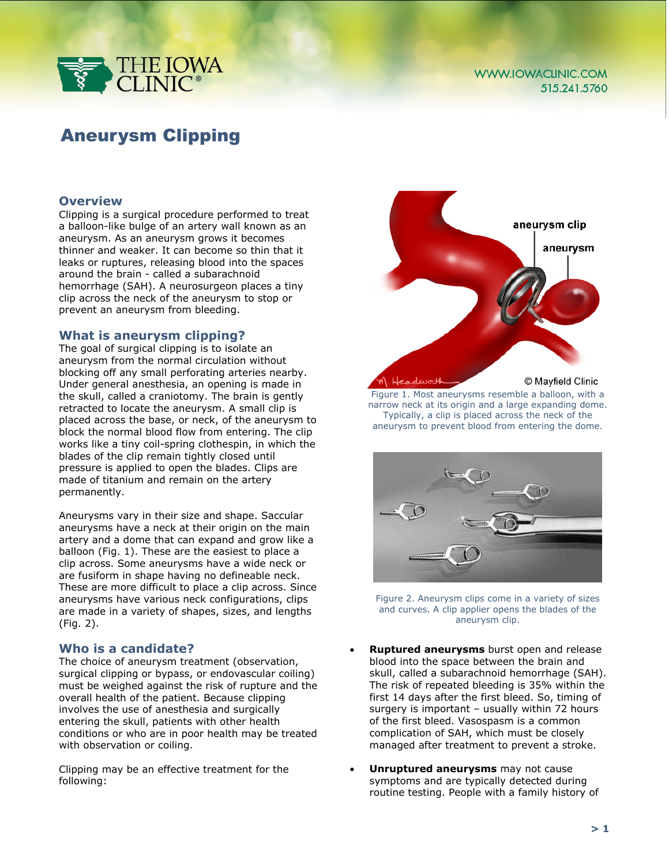

# Aneurysm Clipping

# **Overview**

Clipping is a surgical procedure performed to treat a balloon-like bulge of an artery wall known as an aneurysm. As an aneurysm grows it becomes thinner and weaker. It can become so thin that it leaks or ruptures, releasing blood into the spaces around the brain - called a subarachnoid hemorrhage (SAH). A neurosurgeon places a tiny clip across the neck of the aneurysm to stop or prevent an aneurysm from bleeding.

### **What is aneurysm clipping?**

The goal of surgical clipping is to isolate an aneurysm from the normal circulation without blocking off any small perforating arteries nearby. Under general anesthesia, an opening is made in the skull, called a craniotomy. The brain is gently retracted to locate the aneurysm. A small clip is placed across the base, or neck, of the aneurysm to block the normal blood flow from entering. The clip works like a tiny coil-spring clothespin, in which the blades of the clip remain tightly closed until pressure is applied to open the blades. Clips are made of titanium and remain on the artery permanently.

Aneurysms vary in their size and shape. Saccular aneurysms have a neck at their origin on the main artery and a dome that can expand and grow like a balloon (Fig. 1). These are the easiest to place a clip across. Some aneurysms have a wide neck or are fusiform in shape having no defineable neck. These are more difficult to place a clip across. Since aneurysms have various neck configurations, clips are made in a variety of shapes, sizes, and lengths (Fig. 2).

### **Who is a candidate?**

The choice of aneurysm treatment (observation, surgical clipping or bypass, or endovascular coiling) must be weighed against the risk of rupture and the overall health of the patient. Because clipping involves the use of anesthesia and surgically entering the skull, patients with other health conditions or who are in poor health may be treated with observation or coiling.

Clipping may be an effective treatment for the following:



Figure 1. Most aneurysms resemble a balloon, with a narrow neck at its origin and a large expanding dome. Typically, a clip is placed across the neck of the aneurysm to prevent blood from entering the dome.



Figure 2. Aneurysm clips come in a variety of sizes and curves. A clip applier opens the blades of the aneurysm clip.

- **Ruptured aneurysms** burst open and release blood into the space between the brain and skull, called a subarachnoid hemorrhage (SAH). The risk of repeated bleeding is 35% within the first 14 days after the first bleed. So, timing of surgery is important – usually within 72 hours of the first bleed. Vasospasm is a common complication of SAH, which must be closely managed after treatment to prevent a stroke.
- **Unruptured aneurysms** may not cause symptoms and are typically detected during routine testing. People with a family history of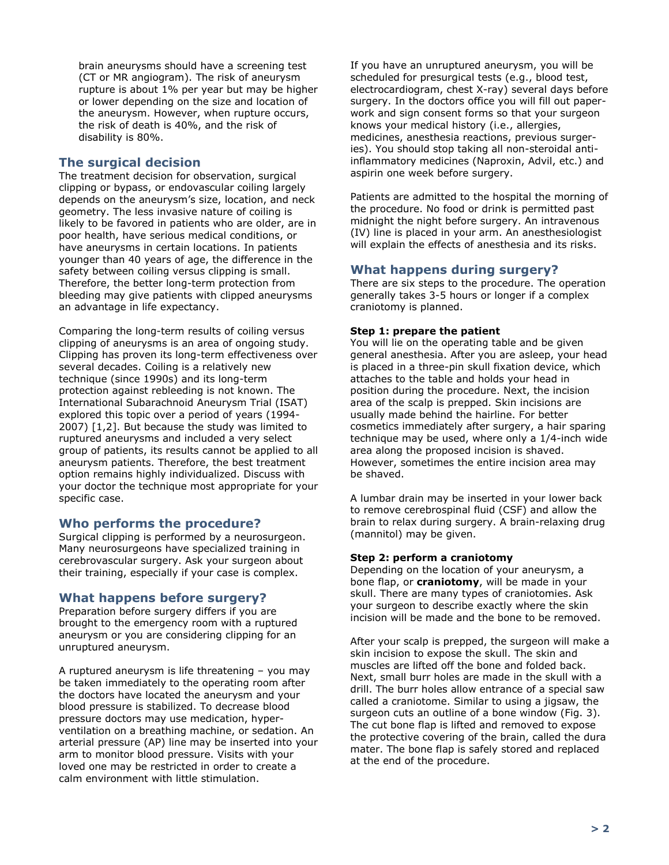brain aneurysms should have a screening test (CT or MR angiogram). The risk of aneurysm rupture is about 1% per year but may be higher or lower depending on the size and location of the aneurysm. However, when rupture occurs, the risk of death is 40%, and the risk of disability is 80%.

# **The surgical decision**

The treatment decision for observation, surgical clipping or bypass, or endovascular coiling largely depends on the aneurysm's size, location, and neck geometry. The less invasive nature of coiling is likely to be favored in patients who are older, are in poor health, have serious medical conditions, or have aneurysms in certain locations. In patients younger than 40 years of age, the difference in the safety between coiling versus clipping is small. Therefore, the better long-term protection from bleeding may give patients with clipped aneurysms an advantage in life expectancy.

Comparing the long-term results of coiling versus clipping of aneurysms is an area of ongoing study. Clipping has proven its long-term effectiveness over several decades. Coiling is a relatively new technique (since 1990s) and its long-term protection against rebleeding is not known. The International Subarachnoid Aneurysm Trial (ISAT) explored this topic over a period of years (1994- 2007) [1,2]. But because the study was limited to ruptured aneurysms and included a very select group of patients, its results cannot be applied to all aneurysm patients. Therefore, the best treatment option remains highly individualized. Discuss with your doctor the technique most appropriate for your specific case.

# **Who performs the procedure?**

Surgical clipping is performed by a neurosurgeon. Many neurosurgeons have specialized training in cerebrovascular surgery. Ask your surgeon about their training, especially if your case is complex.

# **What happens before surgery?**

Preparation before surgery differs if you are brought to the emergency room with a ruptured aneurysm or you are considering clipping for an unruptured aneurysm.

A ruptured aneurysm is life threatening – you may be taken immediately to the operating room after the doctors have located the aneurysm and your blood pressure is stabilized. To decrease blood pressure doctors may use medication, hyperventilation on a breathing machine, or sedation. An arterial pressure (AP) line may be inserted into your arm to monitor blood pressure. Visits with your loved one may be restricted in order to create a calm environment with little stimulation.

If you have an unruptured aneurysm, you will be scheduled for presurgical tests (e.g., blood test, electrocardiogram, chest X-ray) several days before surgery. In the doctors office you will fill out paperwork and sign consent forms so that your surgeon knows your medical history (i.e., allergies, medicines, anesthesia reactions, previous surgeries). You should stop taking all non-steroidal antiinflammatory medicines (Naproxin, Advil, etc.) and aspirin one week before surgery.

Patients are admitted to the hospital the morning of the procedure. No food or drink is permitted past midnight the night before surgery. An intravenous (IV) line is placed in your arm. An anesthesiologist will explain the effects of anesthesia and its risks.

# **What happens during surgery?**

There are six steps to the procedure. The operation generally takes 3-5 hours or longer if a complex craniotomy is planned.

### **Step 1: prepare the patient**

You will lie on the operating table and be given general anesthesia. After you are asleep, your head is placed in a three-pin skull fixation device, which attaches to the table and holds your head in position during the procedure. Next, the incision area of the scalp is prepped. Skin incisions are usually made behind the hairline. For better cosmetics immediately after surgery, a hair sparing technique may be used, where only a 1/4-inch wide area along the proposed incision is shaved. However, sometimes the entire incision area may be shaved.

A lumbar drain may be inserted in your lower back to remove cerebrospinal fluid (CSF) and allow the brain to relax during surgery. A brain-relaxing drug (mannitol) may be given.

### **Step 2: perform a craniotomy**

Depending on the location of your aneurysm, a bone flap, or **craniotomy**, will be made in your skull. There are many types of craniotomies. Ask your surgeon to describe exactly where the skin incision will be made and the bone to be removed.

After your scalp is prepped, the surgeon will make a skin incision to expose the skull. The skin and muscles are lifted off the bone and folded back. Next, small burr holes are made in the skull with a drill. The burr holes allow entrance of a special saw called a craniotome. Similar to using a jigsaw, the surgeon cuts an outline of a bone window (Fig. 3). The cut bone flap is lifted and removed to expose the protective covering of the brain, called the dura mater. The bone flap is safely stored and replaced at the end of the procedure.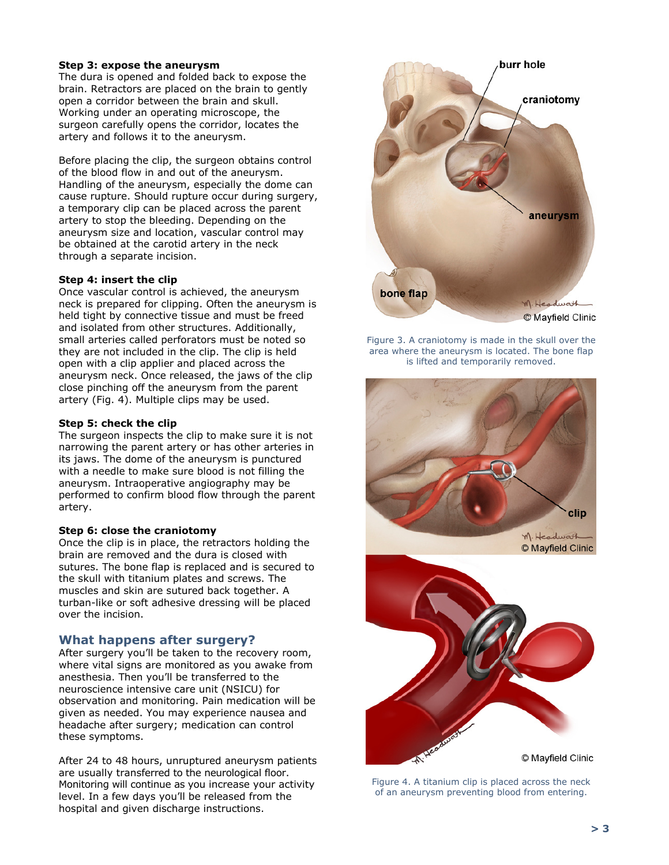#### **Step 3: expose the aneurysm**

The dura is opened and folded back to expose the brain. Retractors are placed on the brain to gently open a corridor between the brain and skull. Working under an operating microscope, the surgeon carefully opens the corridor, locates the artery and follows it to the aneurysm.

Before placing the clip, the surgeon obtains control of the blood flow in and out of the aneurysm. Handling of the aneurysm, especially the dome can cause rupture. Should rupture occur during surgery, a temporary clip can be placed across the parent artery to stop the bleeding. Depending on the aneurysm size and location, vascular control may be obtained at the carotid artery in the neck through a separate incision.

#### **Step 4: insert the clip**

Once vascular control is achieved, the aneurysm neck is prepared for clipping. Often the aneurysm is held tight by connective tissue and must be freed and isolated from other structures. Additionally, small arteries called perforators must be noted so they are not included in the clip. The clip is held open with a clip applier and placed across the aneurysm neck. Once released, the jaws of the clip close pinching off the aneurysm from the parent artery (Fig. 4). Multiple clips may be used.

#### **Step 5: check the clip**

The surgeon inspects the clip to make sure it is not narrowing the parent artery or has other arteries in its jaws. The dome of the aneurysm is punctured with a needle to make sure blood is not filling the aneurysm. Intraoperative angiography may be performed to confirm blood flow through the parent artery.

#### **Step 6: close the craniotomy**

Once the clip is in place, the retractors holding the brain are removed and the dura is closed with sutures. The bone flap is replaced and is secured to the skull with titanium plates and screws. The muscles and skin are sutured back together. A turban-like or soft adhesive dressing will be placed over the incision.

### **What happens after surgery?**

After surgery you'll be taken to the recovery room, where vital signs are monitored as you awake from anesthesia. Then you'll be transferred to the neuroscience intensive care unit (NSICU) for observation and monitoring. Pain medication will be given as needed. You may experience nausea and headache after surgery; medication can control these symptoms.

After 24 to 48 hours, unruptured aneurysm patients are usually transferred to the neurological floor. Monitoring will continue as you increase your activity level. In a few days you'll be released from the hospital and given discharge instructions.



Figure 3. A craniotomy is made in the skull over the area where the aneurysm is located. The bone flap is lifted and temporarily removed.



Figure 4. A titanium clip is placed across the neck of an aneurysm preventing blood from entering.